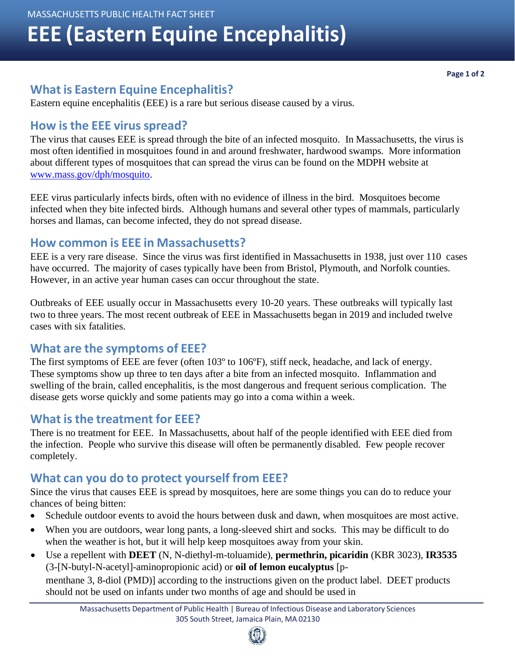# **EEE (Eastern Equine Encephalitis)**

## **What is Eastern Equine Encephalitis?**

Eastern equine encephalitis (EEE) is a rare but serious disease caused by a virus.

#### **How isthe EEE virus spread?**

The virus that causes EEE is spread through the bite of an infected mosquito. In Massachusetts, the virus is most often identified in mosquitoes found in and around freshwater, hardwood swamps. More information about different types of mosquitoes that can spread the virus can be found on the MDPH website at [www.mass.gov/dph/mosquito.](http://www.mass.gov/dph/mosquito)

EEE virus particularly infects birds, often with no evidence of illness in the bird. Mosquitoes become infected when they bite infected birds. Although humans and several other types of mammals, particularly horses and llamas, can become infected, they do not spread disease.

#### **How common is EEE in Massachusetts?**

EEE is a very rare disease. Since the virus was first identified in Massachusetts in 1938, just over 110 cases have occurred. The majority of cases typically have been from Bristol, Plymouth, and Norfolk counties. However, in an active year human cases can occur throughout the state.

Outbreaks of EEE usually occur in Massachusetts every 10-20 years. These outbreaks will typically last two to three years. The most recent outbreak of EEE in Massachusetts began in 2019 and included twelve cases with six fatalities.

#### **What are the symptoms of EEE?**

The first symptoms of EEE are fever (often 103º to 106ºF), stiff neck, headache, and lack of energy. These symptoms show up three to ten days after a bite from an infected mosquito. Inflammation and swelling of the brain, called encephalitis, is the most dangerous and frequent serious complication. The disease gets worse quickly and some patients may go into a coma within a week.

#### **What is the treatment for EEE?**

There is no treatment for EEE. In Massachusetts, about half of the people identified with EEE died from the infection. People who survive this disease will often be permanently disabled. Few people recover completely.

### **What can you do to protect yourself from EEE?**

Since the virus that causes EEE is spread by mosquitoes, here are some things you can do to reduce your chances of being bitten:

- Schedule outdoor events to avoid the hours between dusk and dawn, when mosquitoes are most active.
- When you are outdoors, wear long pants, a long-sleeved shirt and socks. This may be difficult to do when the weather is hot, but it will help keep mosquitoes away from your skin.
- Use a repellent with **DEET** (N, N-diethyl-m-toluamide), **permethrin, picaridin** (KBR 3023), **IR3535** (3-[N-butyl-N-acetyl]-aminopropionic acid) or **oil of lemon eucalyptus** [pmenthane 3, 8-diol (PMD)] according to the instructions given on the product label. DEET products should not be used on infants under two months of age and should be used in